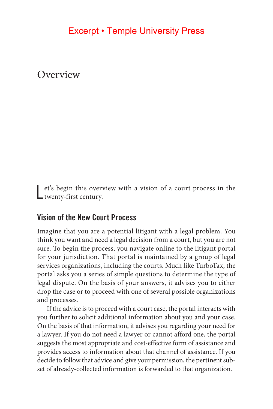# **Overview**

L twenty-first century. et's begin this overview with a vision of a court process in the

#### Vision of the New Court Process

Imagine that you are a potential litigant with a legal problem. You think you want and need a legal decision from a court, but you are not sure. To begin the process, you navigate online to the litigant portal for your jurisdiction. That portal is maintained by a group of legal services organizations, including the courts. Much like TurboTax, the portal asks you a series of simple questions to determine the type of legal dispute. On the basis of your answers, it advises you to either drop the case or to proceed with one of several possible organizations and processes.

If the advice is to proceed with a court case, the portal interacts with you further to solicit additional information about you and your case. On the basis of that information, it advises you regarding your need for a lawyer. If you do not need a lawyer or cannot afford one, the portal suggests the most appropriate and cost-effective form of assistance and provides access to information about that channel of assistance. If you decide to follow that advice and give your permission, the pertinent subset of already-collected information is forwarded to that organization.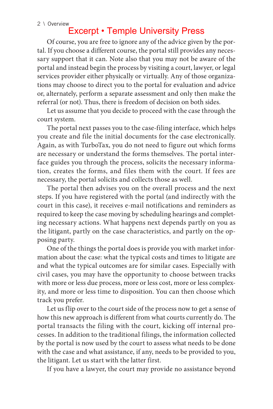Of course, you are free to ignore any of the advice given by the portal. If you choose a different course, the portal still provides any necessary support that it can. Note also that you may not be aware of the portal and instead begin the process by visiting a court, lawyer, or legal services provider either physically or virtually. Any of those organizations may choose to direct you to the portal for evaluation and advice or, alternately, perform a separate assessment and only then make the referral (or not). Thus, there is freedom of decision on both sides.

Let us assume that you decide to proceed with the case through the court system.

The portal next passes you to the case-filing interface, which helps you create and file the initial documents for the case electronically. Again, as with TurboTax, you do not need to figure out which forms are necessary or understand the forms themselves. The portal interface guides you through the process, solicits the necessary information, creates the forms, and files them with the court. If fees are necessary, the portal solicits and collects those as well.

The portal then advises you on the overall process and the next steps. If you have registered with the portal (and indirectly with the court in this case), it receives e-mail notifications and reminders as required to keep the case moving by scheduling hearings and completing necessary actions. What happens next depends partly on you as the litigant, partly on the case characteristics, and partly on the opposing party.

One of the things the portal does is provide you with market information about the case: what the typical costs and times to litigate are and what the typical outcomes are for similar cases. Especially with civil cases, you may have the opportunity to choose between tracks with more or less due process, more or less cost, more or less complexity, and more or less time to disposition. You can then choose which track you prefer.

Let us flip over to the court side of the process now to get a sense of how this new approach is different from what courts currently do. The portal transacts the filing with the court, kicking off internal processes. In addition to the traditional filings, the information collected by the portal is now used by the court to assess what needs to be done with the case and what assistance, if any, needs to be provided to you, the litigant. Let us start with the latter first.

If you have a lawyer, the court may provide no assistance beyond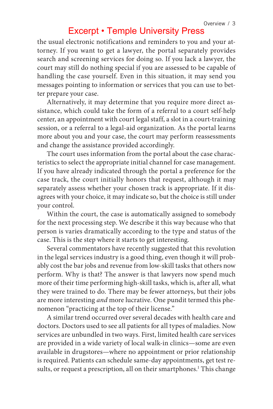the usual electronic notifications and reminders to you and your attorney. If you want to get a lawyer, the portal separately provides search and screening services for doing so. If you lack a lawyer, the court may still do nothing special if you are assessed to be capable of handling the case yourself. Even in this situation, it may send you messages pointing to information or services that you can use to better prepare your case.

Alternatively, it may determine that you require more direct assistance, which could take the form of a referral to a court self-help center, an appointment with court legal staff, a slot in a court-training session, or a referral to a legal-aid organization. As the portal learns more about you and your case, the court may perform reassessments and change the assistance provided accordingly.

The court uses information from the portal about the case characteristics to select the appropriate initial channel for case management. If you have already indicated through the portal a preference for the case track, the court initially honors that request, although it may separately assess whether your chosen track is appropriate. If it disagrees with your choice, it may indicate so, but the choice is still under your control.

Within the court, the case is automatically assigned to somebody for the next processing step. We describe it this way because who that person is varies dramatically according to the type and status of the case. This is the step where it starts to get interesting.

Several commentators have recently suggested that this revolution in the legal services industry is a good thing, even though it will probably cost the bar jobs and revenue from low-skill tasks that others now perform. Why is that? The answer is that lawyers now spend much more of their time performing high-skill tasks, which is, after all, what they were trained to do. There may be fewer attorneys, but their jobs are more interesting *and* more lucrative. One pundit termed this phenomenon "practicing at the top of their license."

A similar trend occurred over several decades with health care and doctors. Doctors used to see all patients for all types of maladies. Now services are unbundled in two ways. First, limited health care services are provided in a wide variety of local walk-in clinics—some are even available in drugstores—where no appointment or prior relationship is required. Patients can schedule same-day appointments, get test results, or request a prescription, all on their smartphones.<sup>1</sup> This change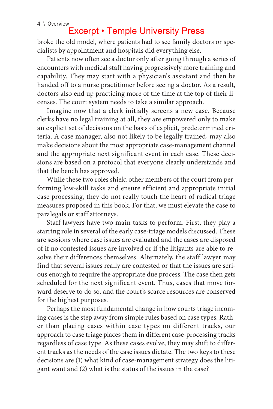broke the old model, where patients had to see family doctors or specialists by appointment and hospitals did everything else.

Patients now often see a doctor only after going through a series of encounters with medical staff having progressively more training and capability. They may start with a physician's assistant and then be handed off to a nurse practitioner before seeing a doctor. As a result, doctors also end up practicing more of the time at the top of their licenses. The court system needs to take a similar approach.

Imagine now that a clerk initially screens a new case. Because clerks have no legal training at all, they are empowered only to make an explicit set of decisions on the basis of explicit, predetermined criteria. A case manager, also not likely to be legally trained, may also make decisions about the most appropriate case-management channel and the appropriate next significant event in each case. These decisions are based on a protocol that everyone clearly understands and that the bench has approved.

While these two roles shield other members of the court from performing low-skill tasks and ensure efficient and appropriate initial case processing, they do not really touch the heart of radical triage measures proposed in this book. For that, we must elevate the case to paralegals or staff attorneys.

Staff lawyers have two main tasks to perform. First, they play a starring role in several of the early case-triage models discussed. These are sessions where case issues are evaluated and the cases are disposed of if no contested issues are involved or if the litigants are able to resolve their differences themselves. Alternately, the staff lawyer may find that several issues really are contested or that the issues are serious enough to require the appropriate due process. The case then gets scheduled for the next significant event. Thus, cases that move forward deserve to do so, and the court's scarce resources are conserved for the highest purposes.

Perhaps the most fundamental change in how courts triage incoming cases is the step away from simple rules based on case types. Rather than placing cases within case types on different tracks, our approach to case triage places them in different case-processing tracks regardless of case type. As these cases evolve, they may shift to different tracks as the needs of the case issues dictate. The two keys to these decisions are (1) what kind of case-management strategy does the litigant want and (2) what is the status of the issues in the case?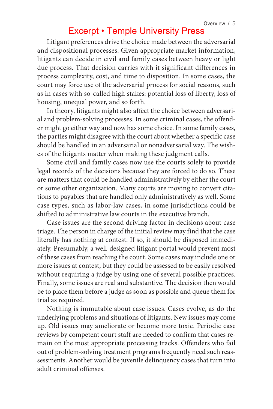Litigant preferences drive the choice made between the adversarial and dispositional processes. Given appropriate market information, litigants can decide in civil and family cases between heavy or light due process. That decision carries with it significant differences in process complexity, cost, and time to disposition. In some cases, the court may force use of the adversarial process for social reasons, such as in cases with so-called high stakes: potential loss of liberty, loss of housing, unequal power, and so forth.

In theory, litigants might also affect the choice between adversarial and problem-solving processes. In some criminal cases, the offender might go either way and now has some choice. In some family cases, the parties might disagree with the court about whether a specific case should be handled in an adversarial or nonadversarial way. The wishes of the litigants matter when making these judgment calls.

Some civil and family cases now use the courts solely to provide legal records of the decisions because they are forced to do so. These are matters that could be handled administratively by either the court or some other organization. Many courts are moving to convert citations to payables that are handled only administratively as well. Some case types, such as labor-law cases, in some jurisdictions could be shifted to administrative law courts in the executive branch.

Case issues are the second driving factor in decisions about case triage. The person in charge of the initial review may find that the case literally has nothing at contest. If so, it should be disposed immediately. Presumably, a well-designed litigant portal would prevent most of these cases from reaching the court. Some cases may include one or more issues at contest, but they could be assessed to be easily resolved without requiring a judge by using one of several possible practices. Finally, some issues are real and substantive. The decision then would be to place them before a judge as soon as possible and queue them for trial as required.

Nothing is immutable about case issues. Cases evolve, as do the underlying problems and situations of litigants. New issues may come up. Old issues may ameliorate or become more toxic. Periodic case reviews by competent court staff are needed to confirm that cases remain on the most appropriate processing tracks. Offenders who fail out of problem-solving treatment programs frequently need such reassessments. Another would be juvenile delinquency cases that turn into adult criminal offenses.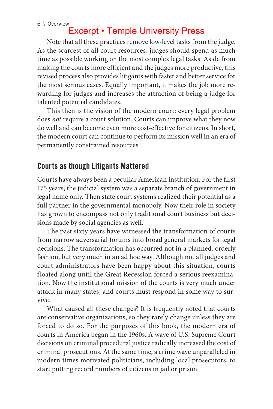Note that all these practices remove low-level tasks from the judge. As the scarcest of all court resources, judges should spend as much time as possible working on the most complex legal tasks. Aside from making the courts more efficient and the judges more productive, this revised process also provides litigants with faster and better service for the most serious cases. Equally important, it makes the job more rewarding for judges and increases the attraction of being a judge for talented potential candidates.

This then is the vision of the modern court: every legal problem does *not* require a court solution. Courts can improve what they now do well and can become even more cost-effective for citizens. In short, the modern court can continue to perform its mission well in an era of permanently constrained resources.

### Courts as though Litigants Mattered

Courts have always been a peculiar American institution. For the first 175 years, the judicial system was a separate branch of government in legal name only. Then state court systems realized their potential as a full partner in the governmental monopoly. Now their role in society has grown to encompass not only traditional court business but decisions made by social agencies as well.

The past sixty years have witnessed the transformation of courts from narrow adversarial forums into broad general markets for legal decisions. The transformation has occurred not in a planned, orderly fashion, but very much in an ad hoc way. Although not all judges and court administrators have been happy about this situation, courts floated along until the Great Recession forced a serious reexamination. Now the institutional mission of the courts is very much under attack in many states, and courts must respond in some way to survive.

What caused all these changes? It is frequently noted that courts are conservative organizations, so they rarely change unless they are forced to do so. For the purposes of this book, the modern era of courts in America began in the 1960s. A wave of U.S. Supreme Court decisions on criminal procedural justice radically increased the cost of criminal prosecutions. At the same time, a crime wave unparalleled in modern times motivated politicians, including local prosecutors, to start putting record numbers of citizens in jail or prison.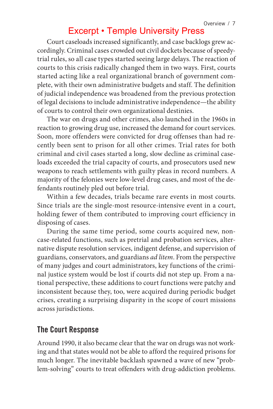Court caseloads increased significantly, and case backlogs grew accordingly. Criminal cases crowded out civil dockets because of speedytrial rules, so all case types started seeing large delays. The reaction of courts to this crisis radically changed them in two ways. First, courts started acting like a real organizational branch of government complete, with their own administrative budgets and staff. The definition of judicial independence was broadened from the previous protection of legal decisions to include administrative independence—the ability of courts to control their own organizational destinies.

The war on drugs and other crimes, also launched in the 1960s in reaction to growing drug use, increased the demand for court services. Soon, more offenders were convicted for drug offenses than had recently been sent to prison for all other crimes. Trial rates for both criminal and civil cases started a long, slow decline as criminal caseloads exceeded the trial capacity of courts, and prosecutors used new weapons to reach settlements with guilty pleas in record numbers. A majority of the felonies were low-level drug cases, and most of the defendants routinely pled out before trial.

Within a few decades, trials became rare events in most courts. Since trials are the single-most resource-intensive event in a court, holding fewer of them contributed to improving court efficiency in disposing of cases.

During the same time period, some courts acquired new, noncase-related functions, such as pretrial and probation services, alternative dispute resolution services, indigent defense, and supervision of guardians, conservators, and guardians *ad litem*. From the perspective of many judges and court administrators, key functions of the criminal justice system would be lost if courts did not step up. From a national perspective, these additions to court functions were patchy and inconsistent because they, too, were acquired during periodic budget crises, creating a surprising disparity in the scope of court missions across jurisdictions.

#### The Court Response

Around 1990, it also became clear that the war on drugs was not working and that states would not be able to afford the required prisons for much longer. The inevitable backlash spawned a wave of new "problem-solving" courts to treat offenders with drug-addiction problems.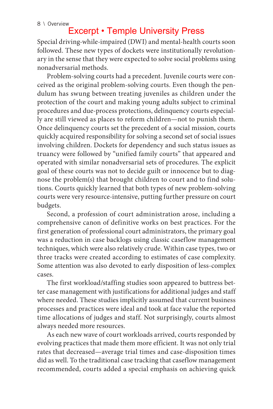Special driving-while-impaired (DWI) and mental-health courts soon followed. These new types of dockets were institutionally revolutionary in the sense that they were expected to solve social problems using nonadversarial methods.

Problem-solving courts had a precedent. Juvenile courts were conceived as the original problem-solving courts. Even though the pendulum has swung between treating juveniles as children under the protection of the court and making young adults subject to criminal procedures and due-process protections, delinquency courts especially are still viewed as places to reform children—not to punish them. Once delinquency courts set the precedent of a social mission, courts quickly acquired responsibility for solving a second set of social issues involving children. Dockets for dependency and such status issues as truancy were followed by "unified family courts" that appeared and operated with similar nonadversarial sets of procedures. The explicit goal of these courts was not to decide guilt or innocence but to diagnose the problem(s) that brought children to court and to find solutions. Courts quickly learned that both types of new problem-solving courts were very resource-intensive, putting further pressure on court budgets.

Second, a profession of court administration arose, including a comprehensive canon of definitive works on best practices. For the first generation of professional court administrators, the primary goal was a reduction in case backlogs using classic caseflow management techniques, which were also relatively crude. Within case types, two or three tracks were created according to estimates of case complexity. Some attention was also devoted to early disposition of less-complex cases.

The first workload/staffing studies soon appeared to buttress better case management with justifications for additional judges and staff where needed. These studies implicitly assumed that current business processes and practices were ideal and took at face value the reported time allocations of judges and staff. Not surprisingly, courts almost always needed more resources.

As each new wave of court workloads arrived, courts responded by evolving practices that made them more efficient. It was not only trial rates that decreased—average trial times and case-disposition times did as well. To the traditional case tracking that caseflow management recommended, courts added a special emphasis on achieving quick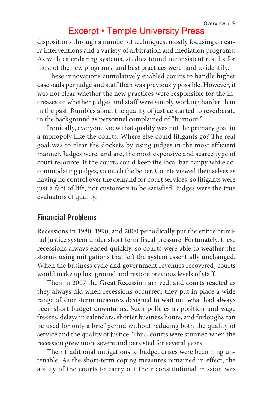dispositions through a number of techniques, mostly focusing on early interventions and a variety of arbitration and mediation programs. As with calendaring systems, studies found inconsistent results for most of the new programs, and best practices were hard to identify.

These innovations cumulatively enabled courts to handle higher caseloads per judge and staff than was previously possible. However, it was not clear whether the new practices were responsible for the increases or whether judges and staff were simply working harder than in the past. Rumbles about the quality of justice started to reverberate in the background as personnel complained of "burnout."

Ironically, everyone knew that quality was not the primary goal in a monopoly like the courts. Where else could litigants go? The real goal was to clear the dockets by using judges in the most efficient manner. Judges were, and are, the most expensive and scarce type of court resource. If the courts could keep the local bar happy while accommodating judges, so much the better. Courts viewed themselves as having no control over the demand for court services, so litigants were just a fact of life, not customers to be satisfied. Judges were the true evaluators of quality.

#### Financial Problems

Recessions in 1980, 1990, and 2000 periodically put the entire criminal justice system under short-term fiscal pressure. Fortunately, these recessions always ended quickly, so courts were able to weather the storms using mitigations that left the system essentially unchanged. When the business cycle and government revenues recovered, courts would make up lost ground and restore previous levels of staff.

Then in 2007 the Great Recession arrived, and courts reacted as they always did when recessions occurred: they put in place a wide range of short-term measures designed to wait out what had always been short budget downturns. Such policies as position and wage freezes, delays in calendars, shorter business hours, and furloughs can be used for only a brief period without reducing both the quality of service and the quality of justice. Thus, courts were stunned when the recession grew more severe and persisted for several years.

Their traditional mitigations to budget crises were becoming untenable. As the short-term coping measures remained in effect, the ability of the courts to carry out their constitutional mission was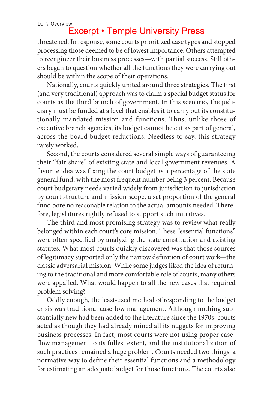threatened. In response, some courts prioritized case types and stopped processing those deemed to be of lowest importance. Others attempted to reengineer their business processes—with partial success. Still others began to question whether all the functions they were carrying out should be within the scope of their operations.

Nationally, courts quickly united around three strategies. The first (and very traditional) approach was to claim a special budget status for courts as the third branch of government. In this scenario, the judiciary must be funded at a level that enables it to carry out its constitutionally mandated mission and functions. Thus, unlike those of executive branch agencies, its budget cannot be cut as part of general, across-the-board budget reductions. Needless to say, this strategy rarely worked.

Second, the courts considered several simple ways of guaranteeing their "fair share" of existing state and local government revenues. A favorite idea was fixing the court budget as a percentage of the state general fund, with the most frequent number being 3 percent. Because court budgetary needs varied widely from jurisdiction to jurisdiction by court structure and mission scope, a set proportion of the general fund bore no reasonable relation to the actual amounts needed. Therefore, legislatures rightly refused to support such initiatives.

The third and most promising strategy was to review what really belonged within each court's core mission. These "essential functions" were often specified by analyzing the state constitution and existing statutes. What most courts quickly discovered was that those sources of legitimacy supported only the narrow definition of court work—the classic adversarial mission. While some judges liked the idea of returning to the traditional and more comfortable role of courts, many others were appalled. What would happen to all the new cases that required problem solving?

Oddly enough, the least-used method of responding to the budget crisis was traditional caseflow management. Although nothing substantially new had been added to the literature since the 1970s, courts acted as though they had already mined all its nuggets for improving business processes. In fact, most courts were not using proper caseflow management to its fullest extent, and the institutionalization of such practices remained a huge problem. Courts needed two things: a normative way to define their essential functions and a methodology for estimating an adequate budget for those functions. The courts also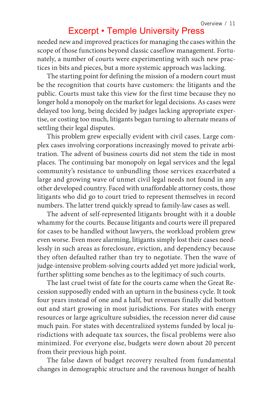needed new and improved practices for managing the cases within the scope of those functions beyond classic caseflow management. Fortunately, a number of courts were experimenting with such new practices in bits and pieces, but a more systemic approach was lacking.

The starting point for defining the mission of a modern court must be the recognition that courts have customers: the litigants and the public. Courts must take this view for the first time because they no longer hold a monopoly on the market for legal decisions. As cases were delayed too long, being decided by judges lacking appropriate expertise, or costing too much, litigants began turning to alternate means of settling their legal disputes.

This problem grew especially evident with civil cases. Large complex cases involving corporations increasingly moved to private arbitration. The advent of business courts did not stem the tide in most places. The continuing bar monopoly on legal services and the legal community's resistance to unbundling those services exacerbated a large and growing wave of unmet civil legal needs not found in any other developed country. Faced with unaffordable attorney costs, those litigants who did go to court tried to represent themselves in record numbers. The latter trend quickly spread to family-law cases as well.

The advent of self-represented litigants brought with it a double whammy for the courts. Because litigants and courts were ill prepared for cases to be handled without lawyers, the workload problem grew even worse. Even more alarming, litigants simply lost their cases needlessly in such areas as foreclosure, eviction, and dependency because they often defaulted rather than try to negotiate. Then the wave of judge-intensive problem-solving courts added yet more judicial work, further splitting some benches as to the legitimacy of such courts.

The last cruel twist of fate for the courts came when the Great Recession supposedly ended with an upturn in the business cycle. It took four years instead of one and a half, but revenues finally did bottom out and start growing in most jurisdictions. For states with energy resources or large agriculture subsidies, the recession never did cause much pain. For states with decentralized systems funded by local jurisdictions with adequate tax sources, the fiscal problems were also minimized. For everyone else, budgets were down about 20 percent from their previous high point.

The false dawn of budget recovery resulted from fundamental changes in demographic structure and the ravenous hunger of health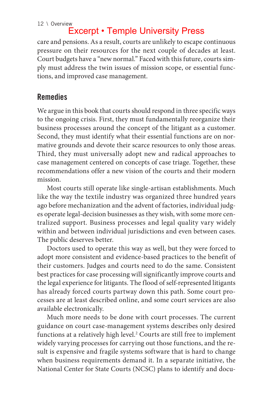care and pensions. As a result, courts are unlikely to escape continuous pressure on their resources for the next couple of decades at least. Court budgets have a "new normal." Faced with this future, courts simply must address the twin issues of mission scope, or essential functions, and improved case management.

#### Remedies

We argue in this book that courts should respond in three specific ways to the ongoing crisis. First, they must fundamentally reorganize their business processes around the concept of the litigant as a customer. Second, they must identify what their essential functions are on normative grounds and devote their scarce resources to only those areas. Third, they must universally adopt new and radical approaches to case management centered on concepts of case triage. Together, these recommendations offer a new vision of the courts and their modern mission.

Most courts still operate like single-artisan establishments. Much like the way the textile industry was organized three hundred years ago before mechanization and the advent of factories, individual judges operate legal-decision businesses as they wish, with some more centralized support. Business processes and legal quality vary widely within and between individual jurisdictions and even between cases. The public deserves better.

Doctors used to operate this way as well, but they were forced to adopt more consistent and evidence-based practices to the benefit of their customers. Judges and courts need to do the same. Consistent best practices for case processing will significantly improve courts and the legal experience for litigants. The flood of self-represented litigants has already forced courts partway down this path. Some court processes are at least described online, and some court services are also available electronically.

Much more needs to be done with court processes. The current guidance on court case-management systems describes only desired functions at a relatively high level.<sup>2</sup> Courts are still free to implement widely varying processes for carrying out those functions, and the result is expensive and fragile systems software that is hard to change when business requirements demand it. In a separate initiative, the National Center for State Courts (NCSC) plans to identify and docu-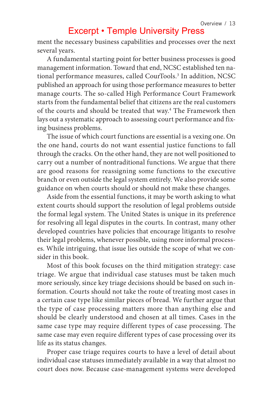ment the necessary business capabilities and processes over the next several years.

A fundamental starting point for better business processes is good management information. Toward that end, NCSC established ten national performance measures, called CourTools.3 In addition, NCSC published an approach for using those performance measures to better manage courts. The so-called High Performance Court Framework starts from the fundamental belief that citizens are the real customers of the courts and should be treated that way.<sup>4</sup> The Framework then lays out a systematic approach to assessing court performance and fixing business problems.

The issue of which court functions are essential is a vexing one. On the one hand, courts do not want essential justice functions to fall through the cracks. On the other hand, they are not well positioned to carry out a number of nontraditional functions. We argue that there are good reasons for reassigning some functions to the executive branch or even outside the legal system entirely. We also provide some guidance on when courts should or should not make these changes.

Aside from the essential functions, it may be worth asking to what extent courts should support the resolution of legal problems outside the formal legal system. The United States is unique in its preference for resolving all legal disputes in the courts. In contrast, many other developed countries have policies that encourage litigants to resolve their legal problems, whenever possible, using more informal processes. While intriguing, that issue lies outside the scope of what we consider in this book.

Most of this book focuses on the third mitigation strategy: case triage. We argue that individual case statuses must be taken much more seriously, since key triage decisions should be based on such information. Courts should not take the route of treating most cases in a certain case type like similar pieces of bread. We further argue that the type of case processing matters more than anything else and should be clearly understood and chosen at all times. Cases in the same case type may require different types of case processing. The same case may even require different types of case processing over its life as its status changes.

Proper case triage requires courts to have a level of detail about individual case statuses immediately available in a way that almost no court does now. Because case-management systems were developed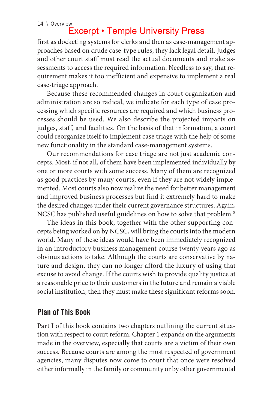first as docketing systems for clerks and then as case-management approaches based on crude case-type rules, they lack legal detail. Judges and other court staff must read the actual documents and make assessments to access the required information. Needless to say, that requirement makes it too inefficient and expensive to implement a real case-triage approach.

Because these recommended changes in court organization and administration are so radical, we indicate for each type of case processing which specific resources are required and which business processes should be used. We also describe the projected impacts on judges, staff, and facilities. On the basis of that information, a court could reorganize itself to implement case triage with the help of some new functionality in the standard case-management systems.

Our recommendations for case triage are not just academic concepts. Most, if not all, of them have been implemented individually by one or more courts with some success. Many of them are recognized as good practices by many courts, even if they are not widely implemented. Most courts also now realize the need for better management and improved business processes but find it extremely hard to make the desired changes under their current governance structures. Again, NCSC has published useful guidelines on how to solve that problem.<sup>5</sup>

The ideas in this book, together with the other supporting concepts being worked on by NCSC, will bring the courts into the modern world. Many of these ideas would have been immediately recognized in an introductory business management course twenty years ago as obvious actions to take. Although the courts are conservative by nature and design, they can no longer afford the luxury of using that excuse to avoid change. If the courts wish to provide quality justice at a reasonable price to their customers in the future and remain a viable social institution, then they must make these significant reforms soon.

### Plan of This Book

Part I of this book contains two chapters outlining the current situation with respect to court reform. Chapter 1 expands on the arguments made in the overview, especially that courts are a victim of their own success. Because courts are among the most respected of government agencies, many disputes now come to court that once were resolved either informally in the family or community or by other governmental